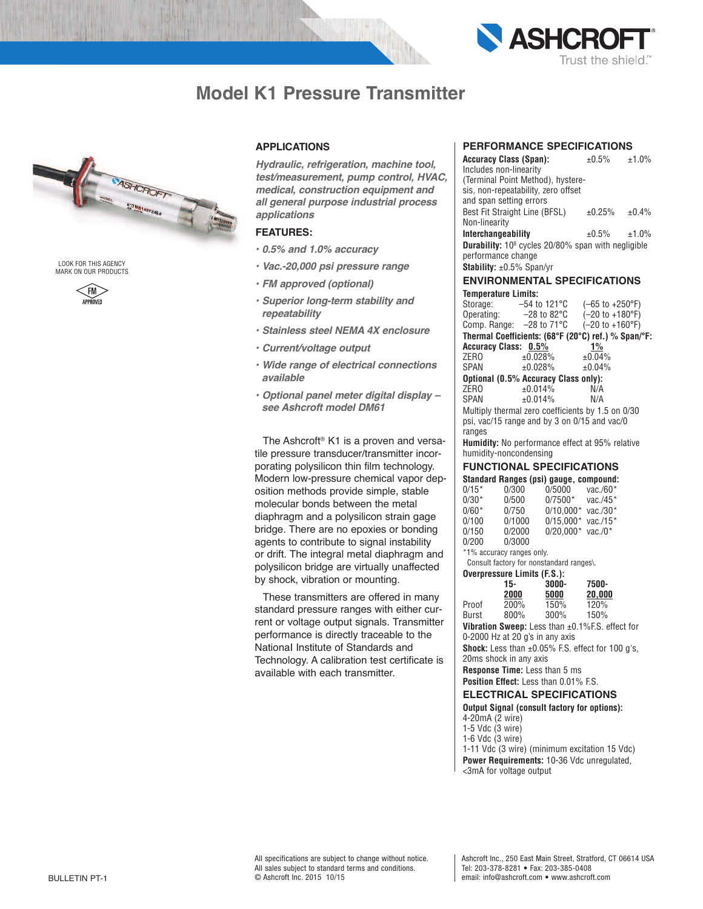

# **Model K1 Pressure Transmitter**



LOOK FOR THIS AGENCY MARK ON OUR PRODUCTS



# **APPLICATIONS**

*Hydraulic, refrigeration, machine tool, test/measurement, pump control, HVAC, medical, construction equipment and all general purpose industrial process applications*

# **FEATURES:**

- *• 0.5% and 1.0% accuracy*
- *• Vac.-20,000 psi pressure range*
- *• FM approved (optional)*
- *• Superior long-term stability and repeatability*
- *• Stainless steel NEMA 4X enclosure*
- *• Current/voltage output*
- *• Wide range of electrical connections available*
- *• Optional panel meter digital display – see Ashcroft model DM61*

The Ashcroft ® K1 is a proven and versatile pressure transducer/transmitter incorporating polysilicon thin film technology. Modern low-pressure chemical vapor deposition methods provide simple, stable molecular bonds between the metal diaphragm and a polysilicon strain gage bridge. There are no epoxies or bonding agents to contribute to signal instability or drift. The integral metal diaphragm and polysilicon bridge are virtually unaffected by shock, vibration or mounting.

These transmitters are offered in many standard pressure ranges with either current or voltage output signals. Transmitter performance is directly traceable to the NationaI Institute of Standards and Technology. A calibration test certificate is available with each transmitter.

# **PERFORMANCE SPECIFICATIONS**

| <b>Accuracy Class (Span):</b>                                         |                                                     | $\pm 0.5\%$                       | ±1.0% |  |  |  |
|-----------------------------------------------------------------------|-----------------------------------------------------|-----------------------------------|-------|--|--|--|
| Includes non-linearity                                                |                                                     |                                   |       |  |  |  |
|                                                                       | (Terminal Point Method), hystere-                   |                                   |       |  |  |  |
|                                                                       | sis, non-repeatability, zero offset                 |                                   |       |  |  |  |
| and span setting errors                                               |                                                     |                                   |       |  |  |  |
| Best Fit Straight Line (BFSL)                                         |                                                     | $±0.25\%$                         | ±0.4% |  |  |  |
| Non-linearity                                                         |                                                     |                                   |       |  |  |  |
| Interchangeability                                                    |                                                     | $\pm 0.5\%$ $\pm 1.0\%$           |       |  |  |  |
| <b>Durability:</b> 10 <sup>8</sup> cycles 20/80% span with negligible |                                                     |                                   |       |  |  |  |
| performance change                                                    |                                                     |                                   |       |  |  |  |
| <b>Stability:</b> $\pm 0.5\%$ Span/yr                                 |                                                     |                                   |       |  |  |  |
| <b>ENVIRONMENTAL SPECIFICATIONS</b>                                   |                                                     |                                   |       |  |  |  |
| <b>Temperature Limits:</b>                                            |                                                     |                                   |       |  |  |  |
| Storage: $-54$ to 121 °C                                              |                                                     | $(-65$ to $+250$ °F)              |       |  |  |  |
| Operating: $-28$ to 82 $\degree$ C                                    |                                                     | $(-20 \text{ to } +180^{\circ}F)$ |       |  |  |  |
| Comp. Range: $-28$ to $71^{\circ}$ C                                  |                                                     | $(-20 \text{ to } +160^{\circ}F)$ |       |  |  |  |
|                                                                       | Thermal Coefficients: (68°F (20°C) ref.) % Span/°F: |                                   |       |  |  |  |
| <b>Accuracy Class: 0.5%</b><br>$1\%$                                  |                                                     |                                   |       |  |  |  |
| ZER <sub>0</sub>                                                      | ±0.028%                                             | ±0.04%                            |       |  |  |  |
| SPAN                                                                  | ±0.028%                                             | ±0.04%                            |       |  |  |  |
| Optional (0.5% Accuracy Class only):                                  |                                                     |                                   |       |  |  |  |
| ZER <sub>0</sub>                                                      | ±0.014%                                             | N/A                               |       |  |  |  |
| SPAN                                                                  | ±0.014%                                             | N/A                               |       |  |  |  |
|                                                                       | Multiply thermal zero coefficients by 1.5 on 0/30   |                                   |       |  |  |  |
| psi, vac/15 range and by 3 on 0/15 and vac/0                          |                                                     |                                   |       |  |  |  |
| ranges                                                                |                                                     |                                   |       |  |  |  |

**Humidity:** No performance effect at 95% relative humidity-noncondensing

# **FUNCTIONAL SPECIFICATIONS**

|                                          |        | Standard Ranges (psi) gauge, compound: |          |  |  |  |
|------------------------------------------|--------|----------------------------------------|----------|--|--|--|
| $0/15*$                                  | 0/300  | 0/5000                                 | vac./60* |  |  |  |
| $0/30*$                                  | 0/500  | $0/7500*$                              | vac./45* |  |  |  |
| $0/60*$                                  | 0/750  | $0/10.000*$ vac./30*                   |          |  |  |  |
| 0/100                                    | 0/1000 | $0/15.000*$ vac./15*                   |          |  |  |  |
| 0/150                                    | 0/2000 | $0/20.000*$ vac./0*                    |          |  |  |  |
| 0/200                                    | 0/3000 |                                        |          |  |  |  |
| *1% accuracy ranges only.                |        |                                        |          |  |  |  |
| Consult factory for nonstandard ranges\. |        |                                        |          |  |  |  |
| Overpressure Limits (F.S.):              |        |                                        |          |  |  |  |

|       | 15-  | 3000-   | 7500-  |  |
|-------|------|---------|--------|--|
|       | 2000 | 5000    | 20,000 |  |
| Proof | 200% | 150%    | 120%   |  |
| Burst | 800% | $300\%$ | 150%   |  |

**Vibration Sweep:** Less than ±0.1%F.S. effect for 0-2000 Hz at 20 g's in any axis

**Shock:** Less than ±0.05% F.S. effect for 100 g's, 20ms shock in any axis

**Response Time:** Less than 5 ms

## **Position Effect:** Less than 0.01% F.S.

# **ELECTRICAL SPECIFICATIONS**

### **Output Signal (consult factory for options):** 4-20mA (2 wire)

- 1-5 Vdc (3 wire)
- 1-6 Vdc (3 wire)
- 1-11 Vdc (3 wire) (minimum excitation 15 Vdc)
- **Power Requirements:** 10-36 Vdc unregulated, <3mA for voltage output